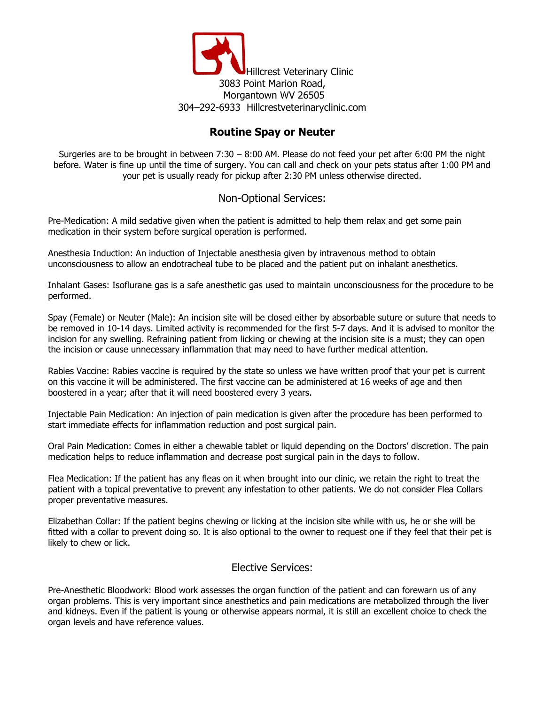

## **Routine Spay or Neuter**

Surgeries are to be brought in between 7:30 – 8:00 AM. Please do not feed your pet after 6:00 PM the night before. Water is fine up until the time of surgery. You can call and check on your pets status after 1:00 PM and your pet is usually ready for pickup after 2:30 PM unless otherwise directed.

## Non-Optional Services:

Pre-Medication: A mild sedative given when the patient is admitted to help them relax and get some pain medication in their system before surgical operation is performed.

Anesthesia Induction: An induction of Injectable anesthesia given by intravenous method to obtain unconsciousness to allow an endotracheal tube to be placed and the patient put on inhalant anesthetics.

Inhalant Gases: Isoflurane gas is a safe anesthetic gas used to maintain unconsciousness for the procedure to be performed.

Spay (Female) or Neuter (Male): An incision site will be closed either by absorbable suture or suture that needs to be removed in 10-14 days. Limited activity is recommended for the first 5-7 days. And it is advised to monitor the incision for any swelling. Refraining patient from licking or chewing at the incision site is a must; they can open the incision or cause unnecessary inflammation that may need to have further medical attention.

Rabies Vaccine: Rabies vaccine is required by the state so unless we have written proof that your pet is current on this vaccine it will be administered. The first vaccine can be administered at 16 weeks of age and then boostered in a year; after that it will need boostered every 3 years.

Injectable Pain Medication: An injection of pain medication is given after the procedure has been performed to start immediate effects for inflammation reduction and post surgical pain.

Oral Pain Medication: Comes in either a chewable tablet or liquid depending on the Doctors' discretion. The pain medication helps to reduce inflammation and decrease post surgical pain in the days to follow.

Flea Medication: If the patient has any fleas on it when brought into our clinic, we retain the right to treat the patient with a topical preventative to prevent any infestation to other patients. We do not consider Flea Collars proper preventative measures.

Elizabethan Collar: If the patient begins chewing or licking at the incision site while with us, he or she will be fitted with a collar to prevent doing so. It is also optional to the owner to request one if they feel that their pet is likely to chew or lick.

## Elective Services:

Pre-Anesthetic Bloodwork: Blood work assesses the organ function of the patient and can forewarn us of any organ problems. This is very important since anesthetics and pain medications are metabolized through the liver and kidneys. Even if the patient is young or otherwise appears normal, it is still an excellent choice to check the organ levels and have reference values.